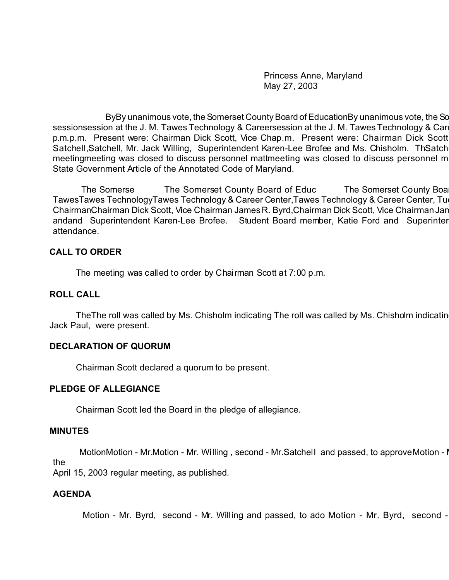Princess Anne, Maryland May 27, 2003

ByBy unanimous vote, the Somerset County Board of EducationBy unanimous vote, the Sc sessionsession at the J. M. Tawes Technology & Careersession at the J. M. Tawes Technology & Career Center, Tuesday, May 27, 2003 p.m.p.m. Present were: Chairman Dick Scott, Vice Chap.m. Present were: Chairman Dick Scott Satchell, Satchell, Mr. Jack Willing, Superintendent Karen-Lee Brofee and Ms. Chisholm. ThSatch meetingmeeting was closed to discuss personnel mattmeeting was closed to discuss personnel m State Government Article of the Annotated Code of Maryland.

The Somerse The Somerset County Board of Educ The Somerset County Boa TawesTawes TechnologyTawes Technology & Career Center, Tawes Technology & Career Center, Tuesday, 2003, 2003, 200 ChairmanChairman Dick Scott, Vice Chairman James R. Byrd,Chairman Dick Scott, Vice Chairman James R. Byrd, Mr. Ernest Satchell, Mr.Chairman Dick Scott, Vice Chairman James R. Byrd, Mr. Ernest Satchell, Mr. Jack Willing andand Superintendent Karen-Lee Brofee. Student Board member, Katie Ford and Superinter attendance.

### **CALL TO ORDER**

The meeting was called to order by Chairman Scott at 7:00 p.m.

#### **ROLL CALL**

The The roll was called by Ms. Chisholm indicating The roll was called by Ms. Chisholm indicating The That all Board members, except Mr. Jack Paul, were present.

#### **DECLARATION OF QUORUM**

Chairman Scott declared a quorum to be present.

#### **PLEDGE OF ALLEGIANCE**

Chairman Scott led the Board in the pledge of allegiance.

#### **MINUTES**

MotionMotion - Mr.Motion - Mr. Willing, second - Mr.Satchell and passed, to approve Motion - I the

April 15, 2003 regular meeting, as published.

## **AGENDA**

Motion - Mr. Byrd, second - Mr. Willing and passed, to ado Motion - Mr. Byrd, second -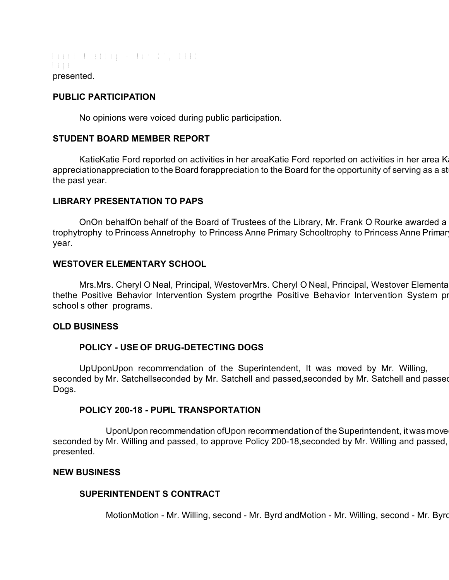Board Meeting - May 27, 2003 Page presented.

### **PUBLIC PARTICIPATION**

No opinions were voiced during public participation.

### **STUDENT BOARD MEMBER REPORT**

KatieKatie Ford reported on activities in her areaKatie Ford reported on activities in her area K appreciationappreciation to the Board forappreciation to the Board for the opportunity of serving as a st the past year.

### **LIBRARY PRESENTATION TO PAPS**

OnOn behalfOn behalf of the Board of Trustees of the Library, Mr. Frank O Rourke awarded a trophytrophy to Princess Annetrophy to Princess Anne Primary Schooltrophy to Princess Anne Primar year.

### **WESTOVER ELEMENTARY SCHOOL**

Mrs.Mrs. Cheryl O Neal, Principal, WestoverMrs. Cheryl O Neal, Principal, Westover Elementa thethe Positive Behavior Intervention System progrthe Positive Behavior Intervention System program school s other programs.

#### **OLD BUSINESS**

## **POLICY - USE OF DRUG-DETECTING DOGS**

UpUponUpon recommendation of the Superintendent, It was moved by Mr. Willing, seconded by Mr. Satchellseconded by Mr. Satchell and passed, seconded by Mr. Satchell and passed Dogs.

#### **POLICY 200-18 - PUPIL TRANSPORTATION**

UponUpon recommendation ofUpon recommendation of the Superintendent, it was move seconded by Mr. Willing and passed, to approve Policy 200-18, seconded by Mr. Willing and passed, presented.

#### **NEW BUSINESS**

#### **SUPERINTENDENT S CONTRACT**

MotionMotion - Mr. Willing, second - Mr. Byrd andMotion - Mr. Willing, second - Mr. Byrd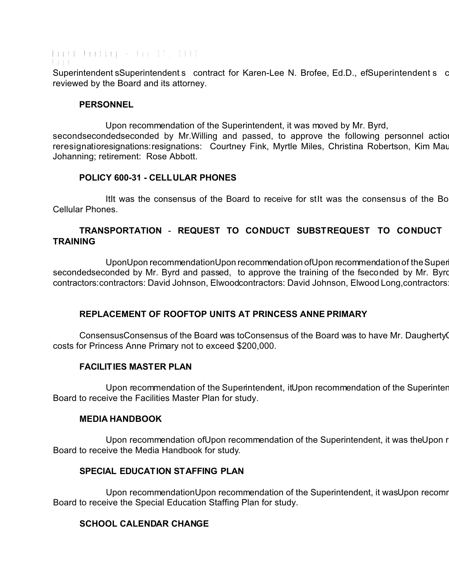Board Meeting - May 27, 2003 Page Superintendent sSuperintendent s contract for Karen-Lee N. Brofee, Ed.D., efSuperintendent s c reviewed by the Board and its attorney.

### **PERSONNEL**

Upon recommendation of the Superintendent, it was moved by Mr. Byrd, secondsecondedseconded by Mr.Willing and passed, to approve the following personnel actions reresignatioresignations:resignations: Courtney Fink, Myrtle Miles, Christina Robertson, Kim Mau Johanning; retirement: Rose Abbott.

### **POLICY 600-31 - CELLULAR PHONES**

Itit was the consensus of the Board to receive for stit was the consensus of the Board to receive for study Poli Cellular Phones.

## **TRANSPORTATION** - **REQUEST TO CONDUCT SUBSTREQUEST TO CONDUCT SUBSTITREQUEST TO CONDUCT SUBSTITUTE DRIVER TRAINING**

UponUpon recommendationUpon recommendation ofUpon recommendation of the Super secondedseconded by Mr. Byrd and passed, to approve the training of the fseconded by Mr. Byrd contractors: contractors: David Johnson, Elwoodcontractors: David Johnson, Elwood Long, contractors

## **REPLACEMENT OF ROOFTOP UNITS AT PRINCESS ANNE PRIMARY**

ConsensusConsensus of the Board was toConsensus of the Board was to have Mr. Daugherty costs for Princess Anne Primary not to exceed \$200,000.

## **FACILITIES MASTER PLAN**

Upon recommendation of the Superintendent, it Upon recommendation of the Superinter Board to receive the Facilities Master Plan for study.

#### **MEDIA HANDBOOK**

Upon recommendation of Upon recommendation of the Superintendent, it was the Upon r Board to receive the Media Handbook for study.

## **SPECIAL EDUCATION STAFFING PLAN**

Upon recommendationUpon recommendation of the Superintendent, it was Upon recomm Board to receive the Special Education Staffing Plan for study.

# **SCHOOL CALENDAR CHANGE**